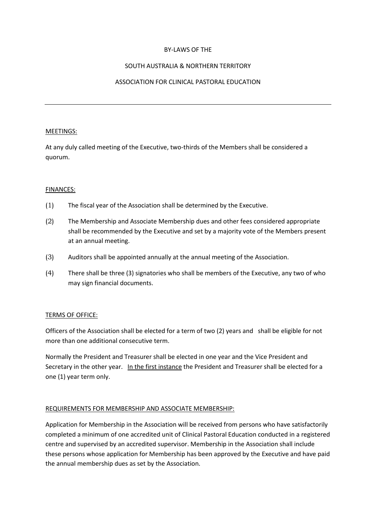#### BY-LAWS OF THE

### SOUTH AUSTRALIA & NORTHERN TERRITORY

## ASSOCIATION FOR CLINICAL PASTORAL EDUCATION

#### MEETINGS:

At any duly called meeting of the Executive, two-thirds of the Members shall be considered a quorum.

#### FINANCES:

- (1) The fiscal year of the Association shall be determined by the Executive.
- (2) The Membership and Associate Membership dues and other fees considered appropriate shall be recommended by the Executive and set by a majority vote of the Members present at an annual meeting.
- (3) Auditors shall be appointed annually at the annual meeting of the Association.
- (4) There shall be three (3) signatories who shall be members of the Executive, any two of who may sign financial documents.

### TERMS OF OFFICE:

Officers of the Association shall be elected for a term of two (2) years and shall be eligible for not more than one additional consecutive term.

Normally the President and Treasurer shall be elected in one year and the Vice President and Secretary in the other year. In the first instance the President and Treasurer shall be elected for a one (1) year term only.

### REQUIREMENTS FOR MEMBERSHIP AND ASSOCIATE MEMBERSHIP:

Application for Membership in the Association will be received from persons who have satisfactorily completed a minimum of one accredited unit of Clinical Pastoral Education conducted in a registered centre and supervised by an accredited supervisor. Membership in the Association shall include these persons whose application for Membership has been approved by the Executive and have paid the annual membership dues as set by the Association.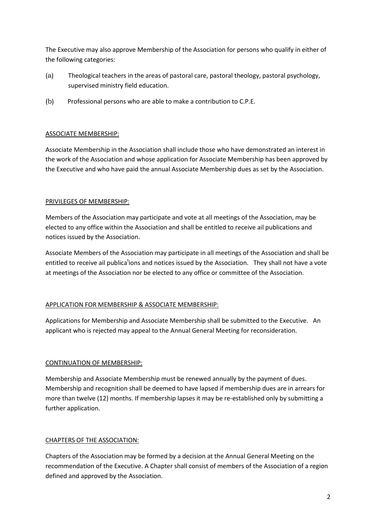The Executive may also approve Membership of the Association for persons who qualify in either of the following categories:

- (a) Theological teachers in the areas of pastoral care, pastoral theology, pastoral psychology, supervised ministry field education.
- (b) Professional persons who are able to make a contribution to C.P.E.

### ASSOCIATE MEMBERSHIP:

Associate Membership in the Association shall include those who have demonstrated an interest in the work of the Association and whose application for Associate Membership has been approved by the Executive and who have paid the annual Associate Membership dues as set by the Association.

### PRIVILEGES OF MEMBERSHIP:

Members of the Association may participate and vote at all meetings of the Association, may be elected to any office within the Association and shall be entitled to receive ail publications and notices issued by the Association.

Associate Members of the Association may participate in all meetings of the Association and shall be entitled to receive ail publications and notices issued by the Association. They shall not have a vote at meetings of the Association nor be elected to any office or committee of the Association.

# APPLICATION FOR MEMBERSHIP & ASSOCIATE MEMBERSHIP:

Applications for Membership and Associate Membership shall be submitted to the Executive. An applicant who is rejected may appeal to the Annual General Meeting for reconsideration.

# CONTINUATION OF MEMBERSHIP:

Membership and Associate Membership must be renewed annually by the payment of dues. Membership and recognition shall be deemed to have lapsed if membership dues are in arrears for more than twelve (12) months. If membership lapses it may be re-established only by submitting a further application.

# CHAPTERS OF THE ASSOCIATION:

Chapters of the Association may be formed by a decision at the Annual General Meeting on the recommendation of the Executive. A Chapter shall consist of members of the Association of a region defined and approved by the Association.